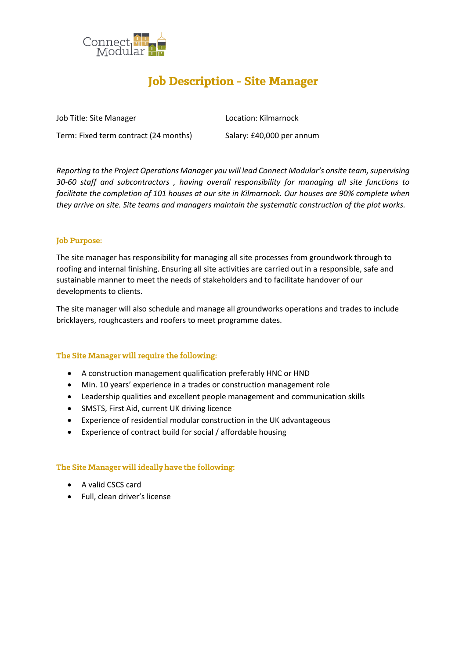

# **Job Description - Site Manager**

Job Title: Site Manager Location: Kilmarnock

Term: Fixed term contract (24 months) Salary: £40,000 per annum

*Reporting to the Project Operations Manager you will lead Connect Modular's onsite team, supervising 30-60 staff and subcontractors , having overall responsibility for managing all site functions to facilitate the completion of 101 houses at our site in Kilmarnock. Our houses are 90% complete when they arrive on site. Site teams and managers maintain the systematic construction of the plot works.*

# **Job Purpose:**

The site manager has responsibility for managing all site processes from groundwork through to roofing and internal finishing. Ensuring all site activities are carried out in a responsible, safe and sustainable manner to meet the needs of stakeholders and to facilitate handover of our developments to clients.

The site manager will also schedule and manage all groundworks operations and trades to include bricklayers, roughcasters and roofers to meet programme dates.

# The Site Manager will require the following:

- A construction management qualification preferably HNC or HND
- Min. 10 years' experience in a trades or construction management role
- Leadership qualities and excellent people management and communication skills
- SMSTS, First Aid, current UK driving licence
- Experience of residential modular construction in the UK advantageous
- Experience of contract build for social / affordable housing

# The Site Manager will ideally have the following:

- A valid CSCS card
- Full, clean driver's license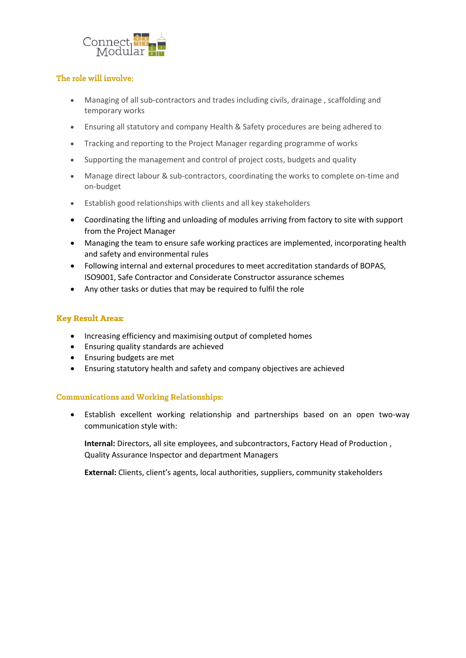

#### The role will involve:

- Managing of all sub-contractors and trades including civils, drainage , scaffolding and temporary works
- Ensuring all statutory and company Health & Safety procedures are being adhered to
- Tracking and reporting to the Project Manager regarding programme of works
- Supporting the management and control of project costs, budgets and quality
- Manage direct labour & sub-contractors, coordinating the works to complete on-time and on-budget
- Establish good relationships with clients and all key stakeholders
- Coordinating the lifting and unloading of modules arriving from factory to site with support from the Project Manager
- Managing the team to ensure safe working practices are implemented, incorporating health and safety and environmental rules
- Following internal and external procedures to meet accreditation standards of BOPAS, ISO9001, Safe Contractor and Considerate Constructor assurance schemes
- Any other tasks or duties that may be required to fulfil the role

#### **Key Result Areas:**

- Increasing efficiency and maximising output of completed homes
- Ensuring quality standards are achieved
- Ensuring budgets are met
- Ensuring statutory health and safety and company objectives are achieved

#### **Communications and Working Relationships:**

• Establish excellent working relationship and partnerships based on an open two-way communication style with:

**Internal:** Directors, all site employees, and subcontractors, Factory Head of Production , Quality Assurance Inspector and department Managers

**External:** Clients, client's agents, local authorities, suppliers, community stakeholders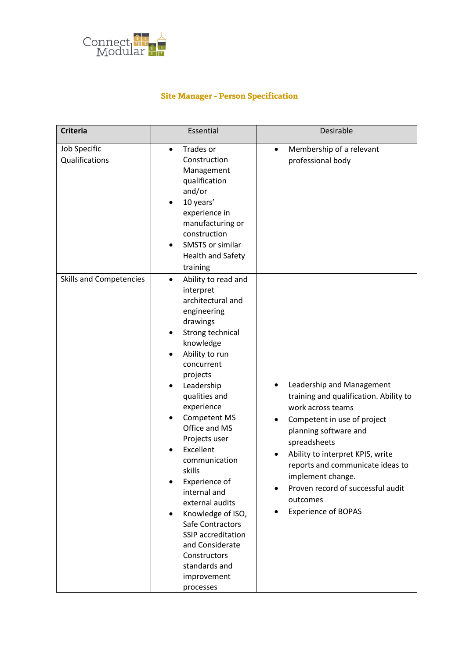

# **Site Manager - Person Specification**

| <b>Criteria</b>                | Essential                                                                                                                                                                                                                                                                                                                                                                                                                                                                                                    | Desirable                                                                                                                                                                                                                                                                                                                                    |
|--------------------------------|--------------------------------------------------------------------------------------------------------------------------------------------------------------------------------------------------------------------------------------------------------------------------------------------------------------------------------------------------------------------------------------------------------------------------------------------------------------------------------------------------------------|----------------------------------------------------------------------------------------------------------------------------------------------------------------------------------------------------------------------------------------------------------------------------------------------------------------------------------------------|
| Job Specific<br>Qualifications | Trades or<br>$\bullet$<br>Construction<br>Management<br>qualification<br>and/or<br>10 years'<br>experience in<br>manufacturing or<br>construction<br>SMSTS or similar<br><b>Health and Safety</b><br>training                                                                                                                                                                                                                                                                                                | Membership of a relevant<br>$\bullet$<br>professional body                                                                                                                                                                                                                                                                                   |
| <b>Skills and Competencies</b> | Ability to read and<br>interpret<br>architectural and<br>engineering<br>drawings<br>Strong technical<br>knowledge<br>Ability to run<br>concurrent<br>projects<br>Leadership<br>٠<br>qualities and<br>experience<br>Competent MS<br>Office and MS<br>Projects user<br>Excellent<br>communication<br>skills<br>Experience of<br>internal and<br>external audits<br>Knowledge of ISO,<br>Safe Contractors<br>SSIP accreditation<br>and Considerate<br>Constructors<br>standards and<br>improvement<br>processes | Leadership and Management<br>training and qualification. Ability to<br>work across teams<br>Competent in use of project<br>planning software and<br>spreadsheets<br>Ability to interpret KPIS, write<br>reports and communicate ideas to<br>implement change.<br>Proven record of successful audit<br>outcomes<br><b>Experience of BOPAS</b> |